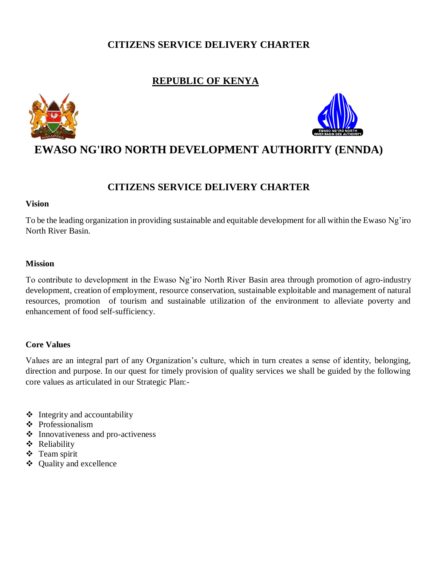### **CITIZENS SERVICE DELIVERY CHARTER**

### **REPUBLIC OF KENYA**





## **EWASO NG'IRO NORTH DEVELOPMENT AUTHORITY (ENNDA)**

### **CITIZENS SERVICE DELIVERY CHARTER**

### **Vision**

To be the leading organization in providing sustainable and equitable development for all within the Ewaso Ng'iro North River Basin.

### **Mission**

To contribute to development in the Ewaso Ng'iro North River Basin area through promotion of agro-industry development, creation of employment, resource conservation, sustainable exploitable and management of natural resources, promotion of tourism and sustainable utilization of the environment to alleviate poverty and enhancement of food self-sufficiency.

### **Core Values**

Values are an integral part of any Organization's culture, which in turn creates a sense of identity, belonging, direction and purpose. In our quest for timely provision of quality services we shall be guided by the following core values as articulated in our Strategic Plan:-

- $\triangleleft$  Integrity and accountability
- ❖ Professionalism
- ❖ Innovativeness and pro-activeness
- Reliability
- Team spirit
- Quality and excellence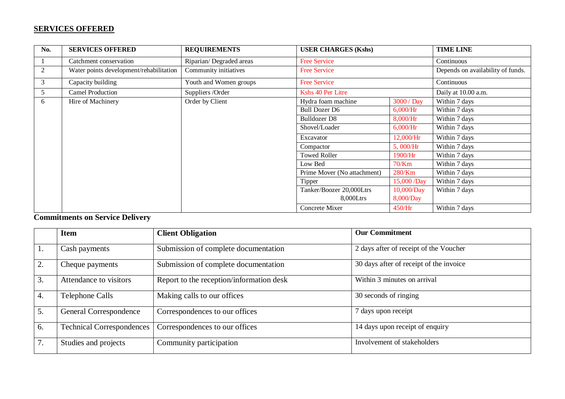### **SERVICES OFFERED**

| <b>No.</b>     | <b>SERVICES OFFERED</b>                 | <b>REQUIREMENTS</b>     | <b>USER CHARGES (Kshs)</b>  |             | <b>TIME LINE</b>                  |
|----------------|-----------------------------------------|-------------------------|-----------------------------|-------------|-----------------------------------|
|                | Catchment conservation                  | Riparian/Degraded areas | <b>Free Service</b>         |             | Continuous                        |
| $\overline{2}$ | Water points development/rehabilitation | Community initiatives   | <b>Free Service</b>         |             | Depends on availability of funds. |
| 3              | Capacity building                       | Youth and Women groups  | <b>Free Service</b>         |             | Continuous                        |
| 5              | <b>Camel Production</b>                 | Suppliers / Order       | Kshs 40 Per Litre           |             | Daily at 10.00 a.m.               |
| 6              | Hire of Machinery                       | Order by Client         | Hydra foam machine          | 3000 / Day  | Within 7 days                     |
|                |                                         |                         | <b>Bull Dozer D6</b>        | 6,000/Hr    | Within 7 days                     |
|                |                                         |                         | Bulldozer D8                | 8,000/Hr    | Within 7 days                     |
|                |                                         |                         | Shovel/Loader               | 6,000/Hr    | Within 7 days                     |
|                |                                         |                         | Excavator                   | 12,000/Hr   | Within 7 days                     |
|                |                                         |                         | Compactor                   | 5,000/Hr    | Within 7 days                     |
|                |                                         |                         | <b>Towed Roller</b>         | 1900/Hr     | Within 7 days                     |
|                |                                         |                         | Low Bed                     | 70/Km       | Within 7 days                     |
|                |                                         |                         | Prime Mover (No attachment) | 280/Km      | Within 7 days                     |
|                |                                         |                         | Tipper                      | 15,000 /Day | Within 7 days                     |
|                |                                         |                         | Tanker/Boozer 20,000Ltrs    | 10,000/Day  | Within 7 days                     |
|                |                                         |                         | 8,000Ltrs                   | 8,000/Day   |                                   |
|                |                                         |                         | Concrete Mixer              | 450/Hr      | Within 7 days                     |

## **Commitments on Service Delivery**

|                | <b>Item</b>                      | <b>Client Obligation</b>                 | <b>Our Commitment</b>                   |
|----------------|----------------------------------|------------------------------------------|-----------------------------------------|
| $\mathbf{I}$ . | Cash payments                    | Submission of complete documentation     | 2 days after of receipt of the Voucher  |
| 2.             | Cheque payments                  | Submission of complete documentation     | 30 days after of receipt of the invoice |
| 3.             | Attendance to visitors           | Report to the reception/information desk | Within 3 minutes on arrival             |
| 4.             | <b>Telephone Calls</b>           | Making calls to our offices              | 30 seconds of ringing                   |
| 5.             | General Correspondence           | Correspondences to our offices           | days upon receipt                       |
| 6.             | <b>Technical Correspondences</b> | Correspondences to our offices           | 14 days upon receipt of enquiry         |
| 7.             | Studies and projects             | Community participation                  | Involvement of stakeholders             |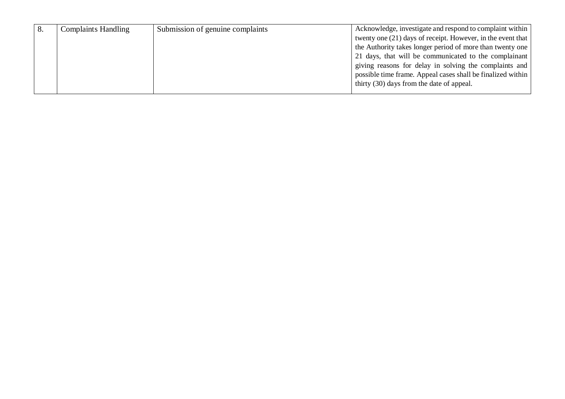|  | <b>Complaints Handling</b> | Submission of genuine complaints | Acknowledge, investigate and respond to complaint within      |  |
|--|----------------------------|----------------------------------|---------------------------------------------------------------|--|
|  |                            |                                  | twenty one $(21)$ days of receipt. However, in the event that |  |
|  |                            |                                  | the Authority takes longer period of more than twenty one     |  |
|  |                            |                                  | 21 days, that will be communicated to the complainant         |  |
|  |                            |                                  | giving reasons for delay in solving the complaints and        |  |
|  |                            |                                  | possible time frame. Appeal cases shall be finalized within   |  |
|  |                            |                                  | thirty (30) days from the date of appeal.                     |  |
|  |                            |                                  |                                                               |  |